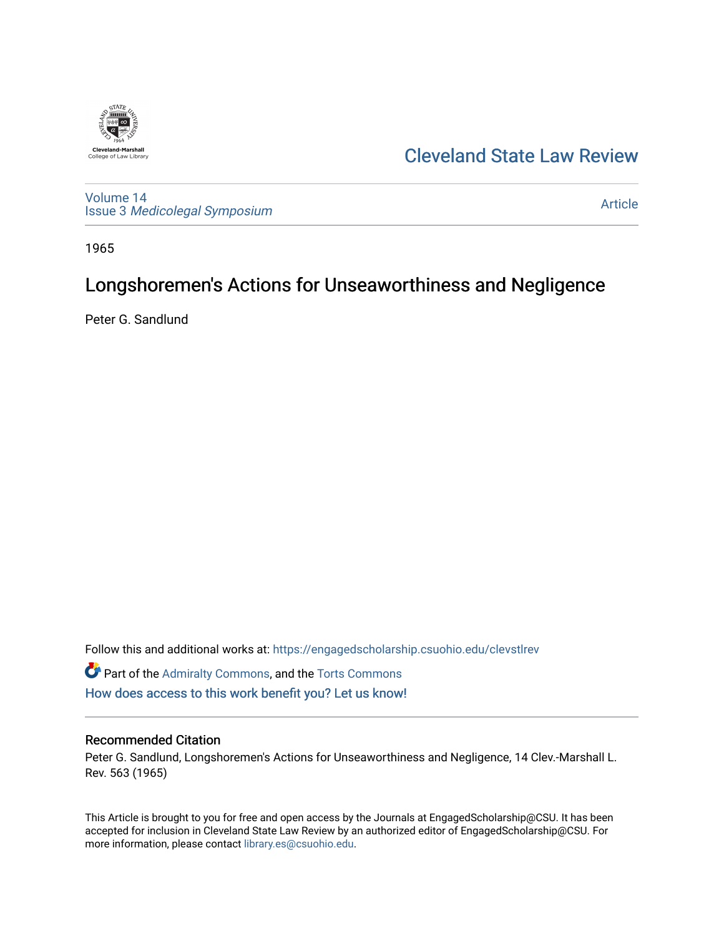

## [Cleveland State Law Review](https://engagedscholarship.csuohio.edu/clevstlrev)

[Volume 14](https://engagedscholarship.csuohio.edu/clevstlrev/vol14) Issue 3 [Medicolegal Symposium](https://engagedscholarship.csuohio.edu/clevstlrev/vol14/iss3) 

[Article](https://engagedscholarship.csuohio.edu/clevstlrev/vol14/iss3/13) 

1965

# Longshoremen's Actions for Unseaworthiness and Negligence

Peter G. Sandlund

Follow this and additional works at: [https://engagedscholarship.csuohio.edu/clevstlrev](https://engagedscholarship.csuohio.edu/clevstlrev?utm_source=engagedscholarship.csuohio.edu%2Fclevstlrev%2Fvol14%2Fiss3%2F13&utm_medium=PDF&utm_campaign=PDFCoverPages)

**C** Part of the [Admiralty Commons](http://network.bepress.com/hgg/discipline/580?utm_source=engagedscholarship.csuohio.edu%2Fclevstlrev%2Fvol14%2Fiss3%2F13&utm_medium=PDF&utm_campaign=PDFCoverPages), and the [Torts Commons](http://network.bepress.com/hgg/discipline/913?utm_source=engagedscholarship.csuohio.edu%2Fclevstlrev%2Fvol14%2Fiss3%2F13&utm_medium=PDF&utm_campaign=PDFCoverPages) [How does access to this work benefit you? Let us know!](http://library.csuohio.edu/engaged/)

#### Recommended Citation

Peter G. Sandlund, Longshoremen's Actions for Unseaworthiness and Negligence, 14 Clev.-Marshall L. Rev. 563 (1965)

This Article is brought to you for free and open access by the Journals at EngagedScholarship@CSU. It has been accepted for inclusion in Cleveland State Law Review by an authorized editor of EngagedScholarship@CSU. For more information, please contact [library.es@csuohio.edu](mailto:library.es@csuohio.edu).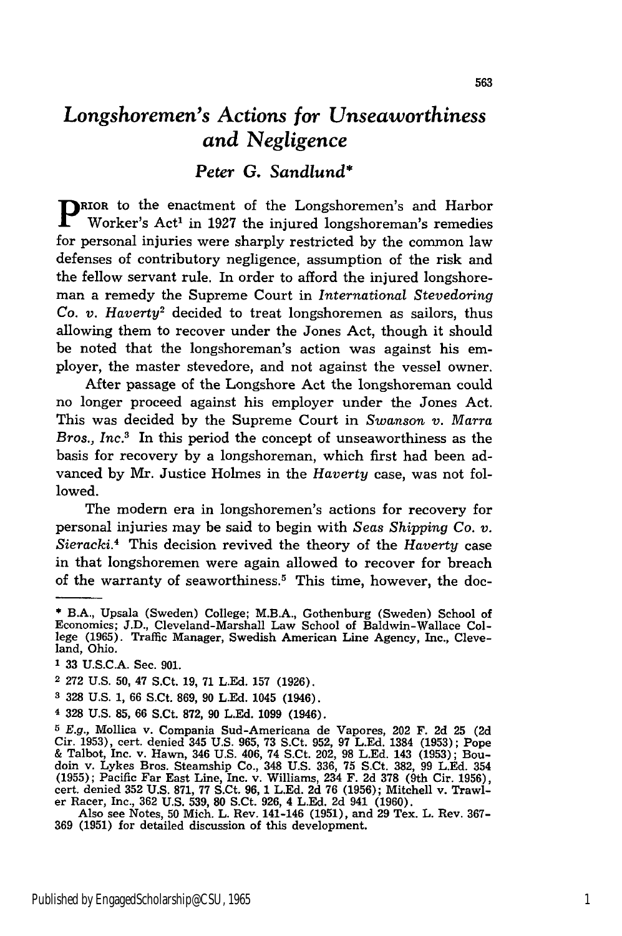### *Longshoremen's Actions for Unseaworthiness and Negligence*

### *Peter G. Sandlund\**

**p**RIOR to the enactment of the Longshoremen's and Harbor Worker's Act' in 1927 the injured longshoreman's remedies for personal injuries were sharply restricted by the common law defenses of contributory negligence, assumption of the risk and the fellow servant rule. In order to afford the injured longshoreman a remedy the Supreme Court in *International Stevedoring Co. v. Haverty2* decided to treat longshoremen as sailors, thus allowing them to recover under the Jones Act, though it should be noted that the longshoreman's action was against his employer, the master stevedore, and not against the vessel owner.

After passage of the Longshore Act the longshoreman could no longer proceed against his employer under the Jones Act. This was decided by the Supreme Court in *Swanson v. Marra Bros., Inc.3* In this period the concept of unseaworthiness as the basis for recovery by a longshoreman, which first had been advanced by Mr. Justice Holmes in the *Haverty* case, was not followed.

The modern era in longshoremen's actions for recovery for personal injuries may be said to begin with *Seas Shipping Co. v. Sieracki.4* This decision revived the theory of the *Haverty* case in that longshoremen were again allowed to recover for breach of the warranty of seaworthiness.<sup>5</sup> This time, however, the doc-

- **2** 272 U.S. **50,** 47 S.Ct. 19, 71 L.Ed. 157 (1926).
- **3** 328 U.S. 1, 66 S.Ct. 869, 90 L.Ed. 1045 (1946).
- 4 328 U.S. **85,** 66 S.Ct. **872, 90** L.Ed. 1099 (1946).

**<sup>\*</sup>** B.A., Upsala (Sweden) College; M.B.A., Gothenburg (Sweden) School of Economics; J.D., Cleveland-Marshall Law School of Baldwin-Wallace College **(1965).** Traffic Manager, Swedish American Line Agency, Inc., Cleveland, Ohio.

**<sup>1</sup>** 33 U.S.C.A. Sec. 901.

*<sup>5</sup>* E.g., Mollica v. Compania Sud-Americana de Vapores, 202 F. 2d **25 (2d** Cir. 1953), cert. denied 345 U.S. 965, 73 S.Ct. 952, 97 L.Ed. 1384 (1953); Pope & Talbot, Inc. v. Hawn, 346 U.S. 406, 74 S.Ct. 202, **98** L.Ed. 143 (1953); Boudoin v. Lykes Bros. Steamship Co., 348 U.S. 336, **75** S.Ct. 382, 99 LEd. 354 (1955); Pacific Far East Line, Inc. v. Williams, 234 F. **2d 378** (9th Cir. 1956), cert. denied **352** U.S. 871, **77** S.Ct. 96, 1 L.Ed. 2d 76 (1956); Mitchell v. Trawl- er Racer, Inc., **362** U.S. 539, 80 S.Ct. 926, 4 L.Ed. 2d 941 (1960). er Racer, Inc., 362 U.S. 539, 80 S.Ct. 926, 4 L.Ed. 2d 941 (1960).<br>Also see Notes, 50 Mich. L. Rev. 141-146 (1951), and 29 Tex. L. Rev. 367-

<sup>369 (1951)</sup> for detailed discussion of this development.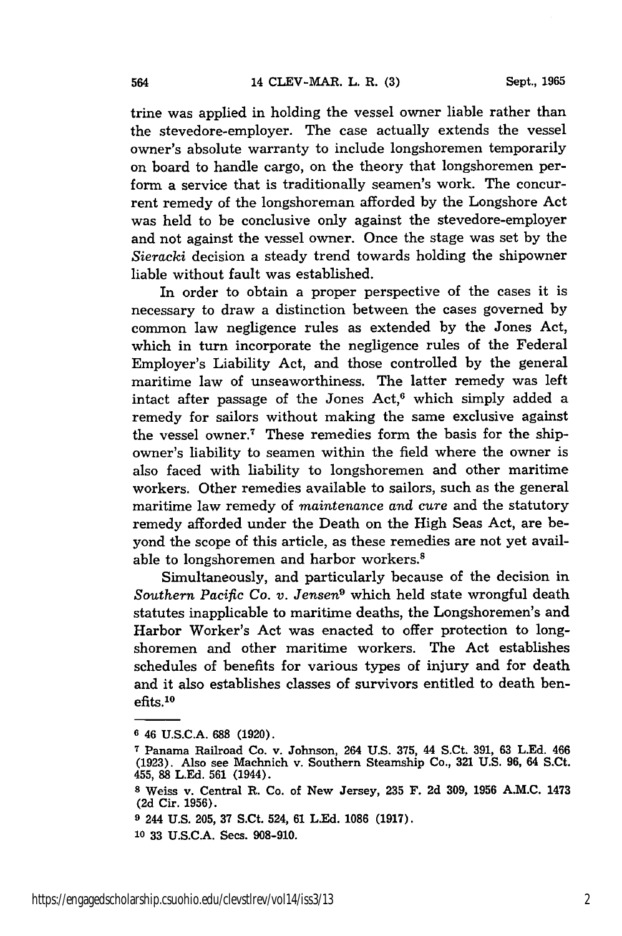trine was applied in holding the vessel owner liable rather than the stevedore-employer. The case actually extends the vessel owner's absolute warranty to include longshoremen temporarily on board to handle cargo, on the theory that longshoremen perform a service that is traditionally seamen's work. The concurrent remedy of the longshoreman afforded by the Longshore Act was held to be conclusive only against the stevedore-employer and not against the vessel owner. Once the stage was set by the *Sieracki* decision a steady trend towards holding the shipowner liable without fault was established.

In order to obtain a proper perspective of the cases it is necessary to draw a distinction between the cases governed by common law negligence rules as extended by the Jones Act, which in turn incorporate the negligence rules of the Federal Employer's Liability Act, and those controlled by the general maritime law of unseaworthiness. The latter remedy was left intact after passage of the Jones  $Act<sub>0</sub><sup>6</sup>$  which simply added a remedy for sailors without making the same exclusive against the vessel owner.7 These remedies form the basis for the shipowner's liability to seamen within the field where the owner is also faced with liability to longshoremen and other maritime workers. Other remedies available to sailors, such as the general maritime law remedy of *maintenance and cure* and the statutory remedy afforded under the Death on the High Seas Act, are beyond the scope of this article, as these remedies are not yet available to longshoremen and harbor workers.<sup>8</sup>

Simultaneously, and particularly because of the decision in *Southern Pacific Co. v. Jensen9* which held state wrongful death statutes inapplicable to maritime deaths, the Longshoremen's and Harbor Worker's Act was enacted to offer protection to longshoremen and other maritime workers. The Act establishes schedules of benefits for various types of injury and for death and it also establishes classes of survivors entitled to death benefits.10

**<sup>6</sup>** 46 **U.S.C.A. 688 (1920).**

**<sup>7</sup>** Panama Railroad Co. v. Johnson, 264 **U.S. 375,** 44 S.Ct. **391, 63 L.Ed.** 466 **(1923).** Also see Machnich v. Southern Steamship Co., **321 U.S. 96,** 64 S.Ct. 455, **88 L.Ed. 561** (1944).

**<sup>8</sup>** Weiss v. Central R. Co. of New Jersey, **235** F. **2d 309, 1956 A.M.C.** 1473 **(2d** Cir. **1956).**

**<sup>9</sup>** 244 **U.S. 205, 37** S.Ct. 524, **61** L.-d. **1086 (1917).**

**<sup>10 33</sup> U.S.C.A.** Secs. **908-910.**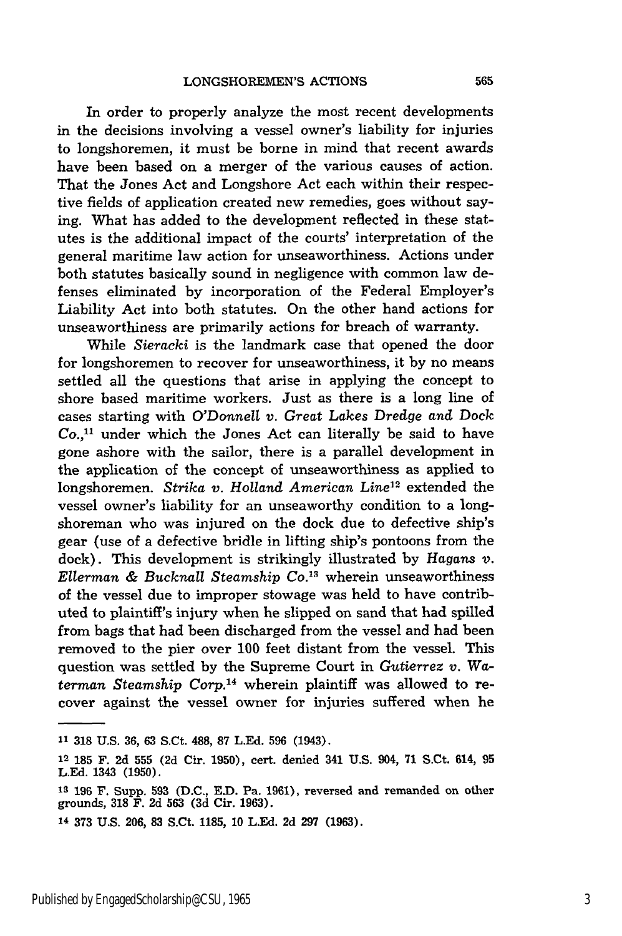In order to properly analyze the most recent developments in the decisions involving a vessel owner's liability for injuries to longshoremen, it must be borne in mind that recent awards have been based on a merger of the various causes of action. That the Jones Act and Longshore Act each within their respective fields of application created new remedies, goes without saying. What has added to the development reflected in these statutes is the additional impact of the courts' interpretation of the general maritime law action for unseaworthiness. Actions under both statutes basically sound in negligence with common law defenses eliminated by incorporation of the Federal Employer's Liability Act into both statutes. On the other hand actions for unseaworthiness are primarily actions for breach of warranty.

While *Sieracki* is the landmark case that opened the door for longshoremen to recover for unseaworthiness, it by no means settled all the questions that arise in applying the concept to shore based maritime workers. Just as there is a long line of cases starting with O'Donnell *v. Great Lakes* Dredge *and* Dock  $Co.$ <sup>11</sup> under which the Jones Act can literally be said to have gone ashore with the sailor, there is a parallel development in the application of the concept of unseaworthiness as applied to longshoremen. *Strika v. Holland American Line12* extended the vessel owner's liability for an unseaworthy condition to a longshoreman who was injured on the dock due to defective ship's gear (use of a defective bridle in lifting ship's pontoons from the dock). This development is strikingly illustrated by *Hagans v. Ellerman & Bucknall Steamship Co. <sup>13</sup>*wherein unseaworthiness of the vessel due to improper stowage was held to have contributed to plaintiff's injury when he slipped on sand that had spilled from bags that had been discharged from the vessel and had been removed to the pier over 100 feet distant from the vessel. This question was settled by the Supreme Court in *Gutierrez v.* Waterman *Steamship Corp.*<sup>14</sup> wherein plaintiff was allowed to recover against the vessel owner for injuries suffered when he

**<sup>&</sup>quot; 318** U.S. **36,** 63 S.Ct. **488, 87** L.Ed. 596 (1943).

**<sup>12</sup>185** F. 2d **555** (2d Cir. 1950), cert. denied 341 U.S. 904, 71 S.Ct. 614, **95** L.Ed. 1343 (1950).

**<sup>&#</sup>x27;is 196** F. Supp. **593** (D.C., E.D. Pa. **1961),** reversed and remanded on other grounds, **318** F. 2d 563 (3d Cir. 1963).

**<sup>14</sup>** 373 U.S. 206, **83** S.Ct. **1185,** 10 L.Ed. 2d 297 (1963).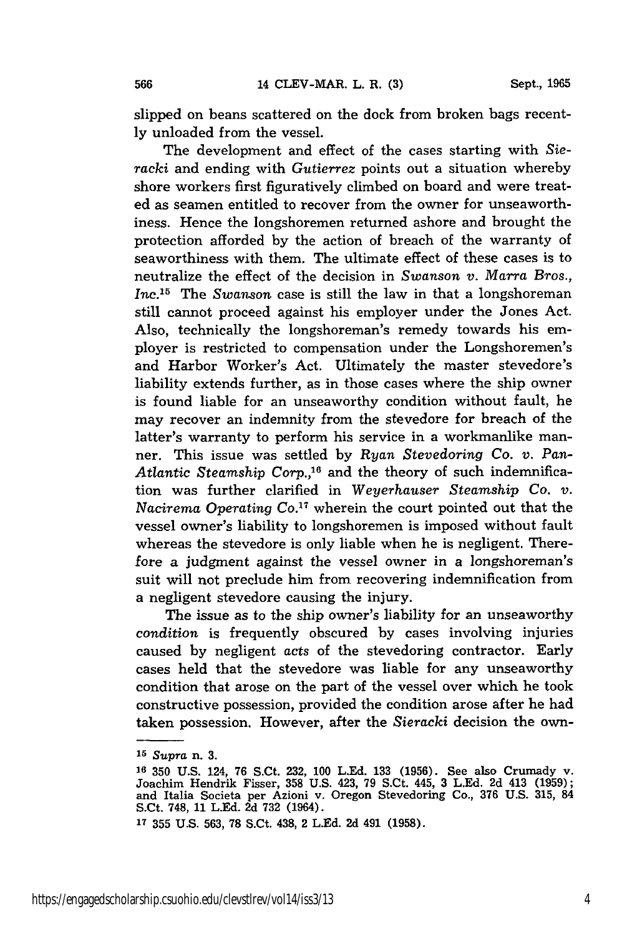slipped on beans scattered on the dock from broken bags recently unloaded from the vessel.

The development and effect of the cases starting with *Sieracki* and ending with *Gutierrez* points out a situation whereby shore workers first figuratively climbed on board and were treated as seamen entitled to recover from the owner for unseaworthiness. Hence the longshoremen returned ashore and brought the protection afforded by the action of breach of the warranty of seaworthiness with them. The ultimate effect of these cases is to neutralize the effect of the decision in *Swanson v. Marra Bros., Inc.15* The *Swanson* case is still the law in that a longshoreman still cannot proceed against his employer under the Jones Act. Also, technically the longshoreman's remedy towards his employer is restricted to compensation under the Longshoremen's and Harbor Worker's Act. Ultimately the master stevedore's liability extends further, as in those cases where the ship owner is found liable for an unseaworthy condition without fault, he may recover an indemnity from the stevedore for breach of the latter's warranty to perform his service in a workmanlike manner. This issue was settled by *Ryan Stevedoring Co. v. Pan-Atlantic Steamship Corp.,16* and the theory of such indemnification was further clarified in *Weyerhauser Steamship Co. v. Nacirema Operating Co.*<sup>17</sup> wherein the court pointed out that the vessel owner's liability to longshoremen is imposed without fault whereas the stevedore is only liable when he is negligent. Therefore a judgment against the vessel owner in a longshoreman's suit will not preclude him from recovering indemnification from a negligent stevedore causing the injury.

The issue as to the ship owner's liability for an unseaworthy *condition* is frequently obscured by cases involving injuries caused by negligent acts of the stevedoring contractor. Early cases held that the stevedore was liable for any unseaworthy condition that arose on the part of the vessel over which he took constructive possession, provided the condition arose after he had taken possession. However, after the *Sieracki* decision the own-

**<sup>15</sup>***Supra* n. **3.**

**<sup>16 350</sup>** U.S. 124, 76 S.Ct. 232, 100 L.Ed. 133 (1956). See also Crumady v. Joachim Hendrik Fisser, **358** U.S. 423, 79 S.Ct. 445, 3 L.Ed. 2d 413 (1959); and Italia Societa per Azioni v. Oregon Stevedoring Co., **376** U.S. 315, 84 S.Ct. 748, 11 L.Ed. 2d 732 (1964).

**<sup>17</sup>**355 U.S. 563, **78** S.Ct. 438, 2 L.Ed. 2d 491 (1958).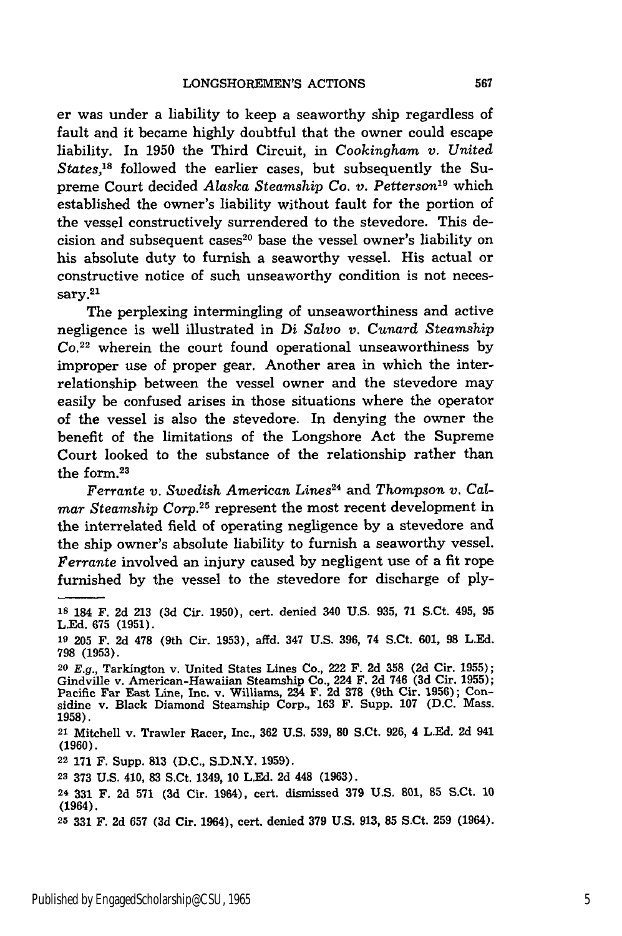er was under a liability to keep a seaworthy ship regardless of fault and it became **highly** doubtful that the owner could escape liability. In **1950** the Third Circuit, in *Cookinghm v. United States,'8* followed the earlier cases, but subsequently the Supreme Court decided *Alaska Steamship Co. v. Petterson19* which established the owner's liability without fault for the portion of the vessel constructively surrendered to the stevedore. This decision and subsequent cases<sup>20</sup> base the vessel owner's liability on his absolute duty to furnish a seaworthy vessel. His actual or constructive notice of such unseaworthy condition is not necessary. 21

The perplexing intermingling of unseaworthiness and active negligence is well illustrated in Di *Salvo v. Cunard Steamship Co.<sup>22</sup>*wherein the court found operational unseaworthiness by improper use of proper gear. Another area in which the interrelationship between the vessel owner and the stevedore may easily be confused arises in those situations where the operator of the vessel is also the stevedore. In denying the owner the benefit of the limitations of the Longshore Act the Supreme Court looked to the substance of the relationship rather than the form.<sup>23</sup>

*Ferrante v. Swedish American Lines*<sup>24</sup> and *Thompson v. Calmar Steamship Corp.25* represent the most recent development in the interrelated field of operating negligence by a stevedore and the ship owner's absolute liability to furnish a seaworthy vessel. *Ferrante* involved an injury caused by negligent use of a fit rope furnished by the vessel to the stevedore for discharge of ply-

**22 171** F. Supp. **813 (D.C., S.D.N.Y. 1959).**

**<sup>&#</sup>x27;s** 184 F. **2d 213 (3d** Cir. 1950), cert. denied 340 **U.S. 935,** 71 S.Ct. 495, **95 L.Ed. 675 (1951).**

**<sup>19 205</sup>** F. **2d 478** (9th Cir. **1953),** affd. 347 **U.S. 396,** 74 S.Ct. **601, 98 L.Ed. 798 (1953).**

*<sup>20</sup>***E.g.,** Tarkington v. United States Lines Co., 222 F. **2d 358 (2d** Cir. **1955);** Gindville v. American-Hawaiian Steamship Co., 224 F. **2d** 746 **(3d** Cir. **1955);** Pacific Far East Line, Inc. v. Williams, 234 F. **2d 378** (9th Cir. 1956); Con-sidine v. Black Diamond Steamship Corp., 163 F. Supp. 107 (D.C. Mass. 1958).

**<sup>21</sup>**Mitchell v. Trawler Racer, Inc., 362 U.S. 539, **80** S.Ct. 926, 4 L.Ed. 2d 941 **(1960).**

**<sup>23 373</sup> U.S.** 410, **83** S.Ct. 1349, **10 L.Ed. 2d** 448 **(1963).**

**<sup>24 331</sup>** F. **2d 571 (3d** Cir. 1964), cert. dismissed **379 U.S. 801, 85** S.Ct. **10** (1964).

**<sup>25 331</sup>** F. **2d 657 (3d** Cir. 1964), cert. denied **379 U.S. 913, 85** S.Ct. **259 (1964).**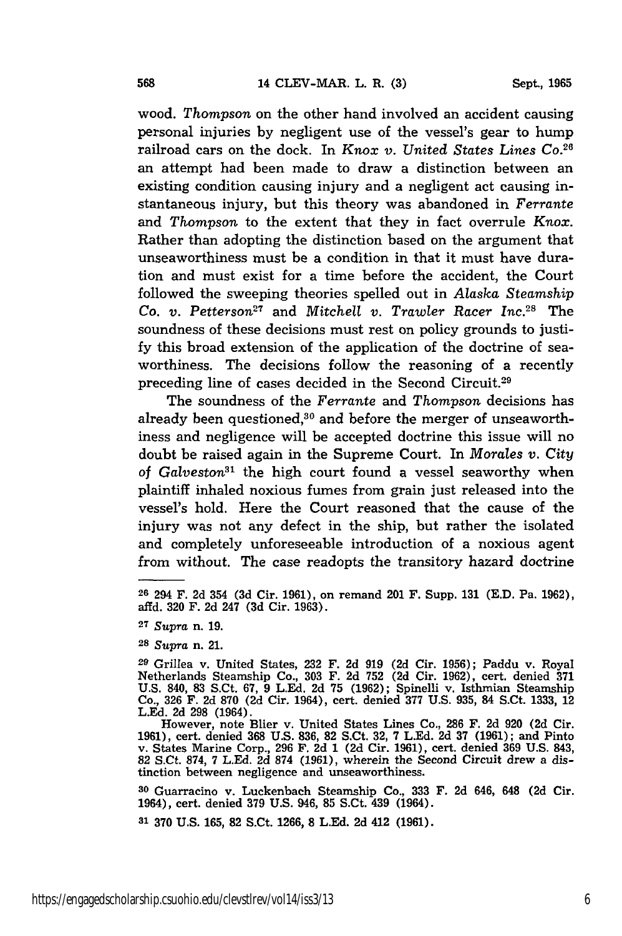**Sept., 1965**

wood. *Thompson* on the other hand involved an accident causing personal injuries by negligent use of the vessel's gear to hump railroad cars on the dock. In *Knox v. United States Lines Co.26* an attempt had been made to draw a distinction between an existing condition causing injury and a negligent act causing instantaneous injury, but this theory was abandoned in *Ferrante* and Thompson to the extent that they in fact overrule *Knox.* Rather than adopting the distinction based on the argument that unseaworthiness must be a condition in that it must have duration and must exist for a time before the accident, the Court followed the sweeping theories spelled out in *Alaska Steamship Co. v. Petterson*<sup>27</sup> and *Mitchell v. Trawler Racer Inc.*<sup>28</sup> The soundness of these decisions must rest on policy grounds to justify this broad extension of the application of the doctrine of seaworthiness. The decisions follow the reasoning of a recently preceding line of cases decided in the Second Circuit. <sup>29</sup>

The soundness of the *Ferrante* and *Thompson* decisions has already been questioned,<sup>30</sup> and before the merger of unseaworthiness and negligence will be accepted doctrine this issue will no doubt be raised again in the Supreme Court. In *Morales v. City of Galveston"'* the high court found a vessel seaworthy when plaintiff inhaled noxious fumes from grain just released into the vessel's hold. Here the Court reasoned that the cause of the injury was not any defect in the ship, but rather the isolated and completely unforeseeable introduction of a noxious agent from without. The case readopts the transitory hazard doctrine

**<sup>30</sup>**Guarracino v. Luckenbach Steamship Co., **333** F. 2d 646, 648 (2d Cir. 1964), cert. denied **379** U.S. 946, **85** S.Ct. 439 (1964).

**31** 370 U.S. 165, **82** S.Ct. 1266, **8** L.Ed. 2d 412 (1961).

**<sup>26</sup>**294 F. 2d 354 **(3d** Cir. 1961), on remand 201 F. Supp. **131 (E.D.** Pa. 1962), affd. **320** F. 2d 247 (3d Cir. 1963).

**<sup>27</sup>***Supra* n. 19.

**<sup>28</sup>***Supra* n. 21.

*<sup>29</sup>*Grillea v. United States, 232 F. 2d **919** (2d Cir. 1956); Paddu v. Royal Netherlands Steamship Co., **303** F. 2d **752** (2d Cir. 1962), cert. denied 371 U.S. 840, **83** S.Ct. 67, 9 LEd. 2d 75 (1962); Spinelli v. Isthmian Steamship Co., 326 F. 2d 870 (2d Cir. 1964), cert. denied 377 U.S. 935, 84 S.Ct. **1333,** <sup>12</sup> L.Ed. 2d 298 (1964).

However, note Blier v. United States Lines Co., **286** F. 2d 920 (2d Cir. 1961), cert. denied **368** U.S. 836, 82 S.Ct. 32, 7 L.Ed. 2d 37 **(1961);** and Pinto v. States Marine Corp., 296 **F.** 2d 1 (2d Cir. 1961), cert. denied **369** U.S. 843, 82 S.Ct. 874, 7 L.Ed. 2d **874** (1961), wherein the Second Circuit drew a distinction between negligence and unseaworthiness.